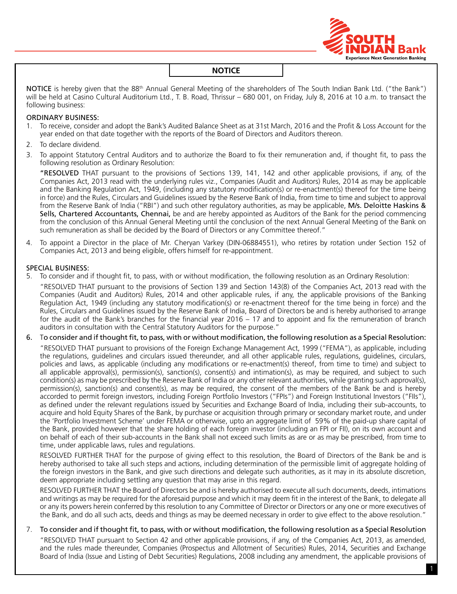

NOTICE is hereby given that the 88<sup>th</sup> Annual General Meeting of the shareholders of The South Indian Bank Ltd. ("the Bank") will be held at Casino Cultural Auditorium Ltd., T. B. Road, Thrissur – 680 001, on Friday, July 8, 2016 at 10 a.m. to transact the following business:

#### ORDINARY BUSINESS:

- 1. To receive, consider and adopt the Bank's Audited Balance Sheet as at 31st March, 2016 and the Profit & Loss Account for the year ended on that date together with the reports of the Board of Directors and Auditors thereon.
- 2. To declare dividend.
- 3. To appoint Statutory Central Auditors and to authorize the Board to fix their remuneration and, if thought fit, to pass the following resolution as Ordinary Resolution:

"RESOLVED THAT pursuant to the provisions of Sections 139, 141, 142 and other applicable provisions, if any, of the Companies Act, 2013 read with the underlying rules viz., Companies (Audit and Auditors) Rules, 2014 as may be applicable and the Banking Regulation Act, 1949, (including any statutory modification(s) or re-enactment(s) thereof for the time being in force) and the Rules, Circulars and Guidelines issued by the Reserve Bank of India, from time to time and subject to approval from the Reserve Bank of India ("RBI") and such other regulatory authorities, as may be applicable, M/s. Deloitte Haskins & Sells, Chartered Accountants, Chennai, be and are hereby appointed as Auditors of the Bank for the period commencing from the conclusion of this Annual General Meeting until the conclusion of the next Annual General Meeting of the Bank on such remuneration as shall be decided by the Board of Directors or any Committee thereof."

4. To appoint a Director in the place of Mr. Cheryan Varkey (DIN-06884551), who retires by rotation under section 152 of Companies Act, 2013 and being eligible, offers himself for re-appointment.

#### SPECIAL BUSINESS:

5. To consider and if thought fit, to pass, with or without modification, the following resolution as an Ordinary Resolution: "RESOLVED THAT pursuant to the provisions of Section 139 and Section 143(8) of the Companies Act, 2013 read with the

Companies (Audit and Auditors) Rules, 2014 and other applicable rules, if any, the applicable provisions of the Banking Regulation Act, 1949 (including any statutory modification(s) or re-enactment thereof for the time being in force) and the Rules, Circulars and Guidelines issued by the Reserve Bank of India, Board of Directors be and is hereby authorised to arrange for the audit of the Bank's branches for the financial year 2016 – 17 and to appoint and fix the remuneration of branch auditors in consultation with the Central Statutory Auditors for the purpose."

#### 6. To consider and if thought fit, to pass, with or without modification, the following resolution as a Special Resolution:

"RESOLVED THAT pursuant to provisions of the Foreign Exchange Management Act, 1999 ("FEMA"), as applicable, including the regulations, guidelines and circulars issued thereunder, and all other applicable rules, regulations, guidelines, circulars, policies and laws, as applicable (including any modifications or re-enactment(s) thereof, from time to time) and subject to all applicable approval(s), permission(s), sanction(s), consent(s) and intimation(s), as may be required, and subject to such condition(s) as may be prescribed by the Reserve Bank of India or any other relevant authorities, while granting such approval(s), permission(s), sanction(s) and consent(s), as may be required, the consent of the members of the Bank be and is hereby accorded to permit foreign investors, including Foreign Portfolio Investors ("FPIs") and Foreign Institutional Investors ("FIIs"), as defined under the relevant regulations issued by Securities and Exchange Board of India, including their sub-accounts, to acquire and hold Equity Shares of the Bank, by purchase or acquisition through primary or secondary market route, and under the 'portfolio Investment scheme' under FEMA or otherwise, upto an aggregate limit of 59% of the paid-up share capital of the Bank, provided however that the share holding of each foreign investor (including an FPI or FII), on its own account and on behalf of each of their sub-accounts in the Bank shall not exceed such limits as are or as may be prescribed, from time to time, under applicable laws, rules and regulations.

RESOLVED FURTHER THAT for the purpose of giving effect to this resolution, the Board of Directors of the Bank be and is hereby authorised to take all such steps and actions, including determination of the permissible limit of aggregate holding of the foreign investors in the Bank, and give such directions and delegate such authorities, as it may in its absolute discretion, deem appropriate including settling any question that may arise in this regard.

RESOLVED FURTHER THAT the Board of Directors be and is hereby authorised to execute all such documents, deeds, intimations and writings as may be required for the aforesaid purpose and which it may deem fit in the interest of the Bank, to delegate all or any its powers herein conferred by this resolution to any Committee of Director or Directors or any one or more executives of the Bank, and do all such acts, deeds and things as may be deemed necessary in order to give effect to the above resolution."

#### 7. To consider and if thought fit, to pass, with or without modification, the following resolution as a Special Resolution

"RESOLVED THAT pursuant to Section 42 and other applicable provisions, if any, of the Companies Act, 2013, as amended, and the rules made thereunder, Companies (Prospectus and Allotment of Securities) Rules, 2014, Securities and Exchange Board of India (Issue and Listing of Debt Securities) Regulations, 2008 including any amendment, the applicable provisions of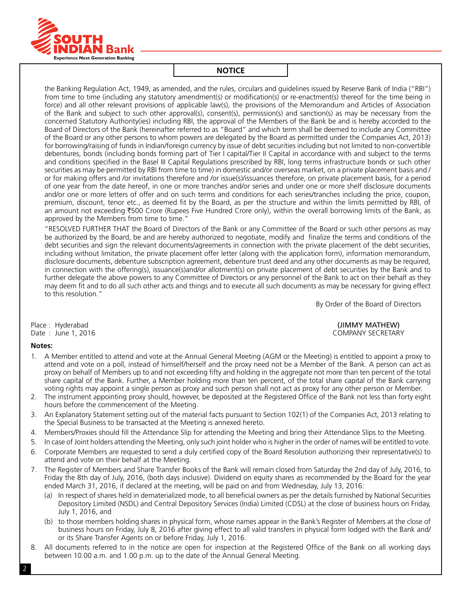

the Banking Regulation Act, 1949, as amended, and the rules, circulars and guidelines issued by Reserve Bank of India ("RBI") from time to time (including any statutory amendment(s) or modification(s) or re-enactment(s) thereof for the time being in force) and all other relevant provisions of applicable law(s), the provisions of the Memorandum and Articles of Association of the Bank and subject to such other approval(s), consent(s), permission(s) and sanction(s) as may be necessary from the concerned Statutory Authority(ies) including RBI, the approval of the Members of the Bank be and is hereby accorded to the Board of Directors of the Bank (hereinafter referred to as "Board" and which term shall be deemed to include any Committee of the Board or any other persons to whom powers are delegated by the Board as permitted under the Companies Act, 2013) for borrowing/raising of funds in Indian/foreign currency by issue of debt securities including but not limited to non-convertible debentures, bonds (including bonds forming part of Tier I capital/Tier II Capital in accordance with and subject to the terms and conditions specified in the Basel III Capital Regulations prescribed by RBI, long terms infrastructure bonds or such other securities as may be permitted by RBI from time to time) in domestic and/or overseas market, on a private placement basis and / or for making offers and /or invitations therefore and /or issue(s)/issuances therefore, on private placement basis, for a period of one year from the date hereof, in one or more tranches and/or series and under one or more shelf disclosure documents and/or one or more letters of offer and on such terms and conditions for each series/tranches including the price, coupon, premium, discount, tenor etc., as deemed fit by the Board, as per the structure and within the limits permitted by RBI, of an amount not exceeding ₹500 Crore (Rupees Five Hundred Crore only), within the overall borrowing limits of the Bank, as approved by the Members from time to time."

"RESOLVED FURTHER THAT the Board of Directors of the Bank or any Committee of the Board or such other persons as may be authorized by the Board, be and are hereby authorized to negotiate, modify and finalize the terms and conditions of the debt securities and sign the relevant documents/agreements in connection with the private placement of the debt securities, including without limitation, the private placement offer letter (along with the application form), information memorandum, disclosure documents, debenture subscription agreement, debenture trust deed and any other documents as may be required, in connection with the offering(s), issuance(s)and/or allotment(s) on private placement of debt securities by the Bank and to further delegate the above powers to any Committee of Directors or any personnel of the Bank to act on their behalf as they may deem fit and to do all such other acts and things and to execute all such documents as may be necessary for giving effect to this resolution."

By Order of the Board of Directors

Date : June 1, 2016

#### **Notes:**

Place : Hyderabad (JIMMY MATHEW)

- 1. A Member entitled to attend and vote at the Annual General Meeting (AGM or the Meeting) is entitled to appoint a proxy to attend and vote on a poll, instead of himself/herself and the proxy need not be a Member of the Bank. A person can act as proxy on behalf of Members up to and not exceeding fifty and holding in the aggregate not more than ten percent of the total share capital of the Bank. Further, a Member holding more than ten percent, of the total share capital of the Bank carrying voting rights may appoint a single person as proxy and such person shall not act as proxy for any other person or Member.
- 2. The instrument appointing proxy should, however, be deposited at the Registered Office of the Bank not less than forty eight hours before the commencement of the Meeting.
- 3. An Explanatory Statement setting out of the material facts pursuant to Section 102(1) of the Companies Act, 2013 relating to the Special Business to be transacted at the Meeting is annexed hereto.
- 4. Members/Proxies should fill the Attendance Slip for attending the Meeting and bring their Attendance Slips to the Meeting.
- 5. In case of Joint holders attending the Meeting, only such joint holder who is higher in the order of names will be entitled to vote.
- 6. Corporate Members are requested to send a duly certified copy of the Board Resolution authorizing their representative(s) to attend and vote on their behalf at the Meeting.
- 7. The Register of Members and Share Transfer Books of the Bank will remain closed from Saturday the 2nd day of July, 2016, to Friday the 8th day of July, 2016, (both days inclusive). Dividend on equity shares as recommended by the Board for the year ended March 31, 2016, if declared at the meeting, will be paid on and from Wednesday, July 13, 2016:
	- (a) In respect of shares held in dematerialized mode, to all beneficial owners as per the details furnished by National Securities Depository Limited (NSDL) and Central Depository Services (India) Limited (CDSL) at the close of business hours on Friday, July 1, 2016, and
	- (b) to those members holding shares in physical form, whose names appear in the Bank's Register of Members at the close of business hours on Friday, July 8, 2016 after giving effect to all valid transfers in physical form lodged with the Bank and/ or its Share Transfer Agents on or before Friday, July 1, 2016.
- 8. All documents referred to in the notice are open for inspection at the Registered Office of the Bank on all working days between 10.00 a.m. and 1.00 p.m. up to the date of the Annual General Meeting.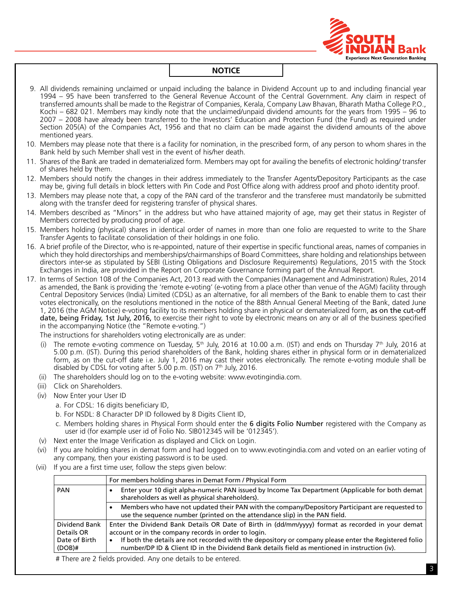

9. All dividends remaining unclaimed or unpaid including the balance in Dividend Account up to and including financial year 1994 – 95 have been transferred to the General Revenue Account of the Central Government. Any claim in respect of transferred amounts shall be made to the Registrar of Companies, Kerala, Company Law Bhavan, Bharath Matha College P.O., Kochi – 682 021. Members may kindly note that the unclaimed/unpaid dividend amounts for the years from 1995 – 96 to 2007 – 2008 have already been transferred to the Investors' Education and Protection Fund (the Fund) as required under Section 205(A) of the Companies Act, 1956 and that no claim can be made against the dividend amounts of the above mentioned years. 10. Members may please note that there is a facility for nomination, in the prescribed form, of any person to whom shares in the Bank held by such Member shall vest in the event of his/her death. 11. Shares of the Bank are traded in dematerialized form. Members may opt for availing the benefits of electronic holding/ transfer of shares held by them. 12. Members should notify the changes in their address immediately to the Transfer Agents/Depository Participants as the case may be, giving full details in block letters with Pin Code and Post Office along with address proof and photo identity proof. 13. Members may please note that, a copy of the PAN card of the transferor and the transferee must mandatorily be submitted along with the transfer deed for registering transfer of physical shares. 14. Members described as "Minors" in the address but who have attained majority of age, may get their status in Register of Members corrected by producing proof of age. 15. Members holding (physical) shares in identical order of names in more than one folio are requested to write to the Share Transfer Agents to facilitate consolidation of their holdings in one folio. 16. A brief profile of the Director, who is re-appointed, nature of their expertise in specific functional areas, names of companies in which they hold directorships and memberships/chairmanships of Board Committees, share holding and relationships between directors inter-se as stipulated by SEBI (Listing Obligations and Disclosure Requirements) Regulations, 2015 with the Stock Exchanges in India, are provided in the Report on Corporate Governance forming part of the Annual Report. 17. In terms of Section 108 of the Companies Act, 2013 read with the Companies (Management and Administration) Rules, 2014 as amended, the Bank is providing the 'remote e-voting' (e-voting from a place other than venue of the AGM) facility through Central Depository Services (India) Limited (CDSL) as an alternative, for all members of the Bank to enable them to cast their votes electronically, on the resolutions mentioned in the notice of the 88th Annual General Meeting of the Bank, dated June 1, 2016 (the AGM Notice) e-voting facility to its members holding share in physical or dematerialized form, as on the cut-off date, being Friday, 1st July, 2016, to exercise their right to vote by electronic means on any or all of the business specified in the accompanying Notice (the "Remote e-voting.") The instructions for shareholders voting electronically are as under: (i) The remote e-voting commence on Tuesday,  $5<sup>th</sup>$  July, 2016 at 10.00 a.m. (IST) and ends on Thursday 7<sup>th</sup> July, 2016 at 5.00 p.m. (IST). During this period shareholders of the Bank, holding shares either in physical form or in dematerialized form, as on the cut-off date i.e. July 1, 2016 may cast their votes electronically. The remote e-voting module shall be disabled by CDSL for voting after 5.00 p.m. (IST) on 7<sup>th</sup> July, 2016. (ii) The shareholders should log on to the e-voting website: www.evotingindia.com. (iii) Click on Shareholders. (iv) Now Enter your User ID a. For CDSL: 16 digits beneficiary ID, b. For NSDL: 8 Character DP ID followed by 8 Digits Client ID, c. Members holding shares in Physical Form should enter the 6 digits Folio Number registered with the Company as user id (for example user id of Folio No. SIB012345 will be '012345'). (v) Next enter the Image Verification as displayed and Click on Login. (vi) If you are holding shares in demat form and had logged on to www.evotingindia.com and voted on an earlier voting of any company, then your existing password is to be used. (vii) If you are a first time user, follow the steps given below: For members holding shares in Demat Form / Physical Form PAN • Enter your 10 digit alpha-numeric PAN issued by Income Tax Department (Applicable for both demat shareholders as well as physical shareholders). Members who have not updated their PAN with the company/Depository Participant are requested to use the sequence number (printed on the attendance slip) in the PAN field. Dividend Bank Details OR Date of Birth (DOB)# Enter the Dividend Bank Details OR Date of Birth in (dd/mm/yyyy) format as recorded in your demat account or in the company records in order to login. If both the details are not recorded with the depository or company please enter the Registered folio number/DP ID & Client ID in the Dividend Bank details field as mentioned in instruction (iv). # There are 2 fields provided. Any one details to be entered.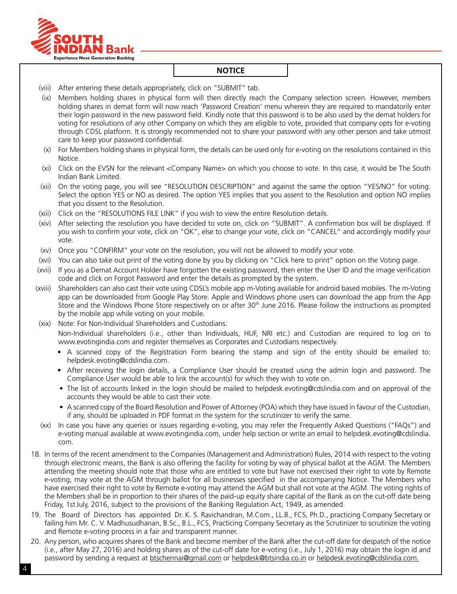

- (viii) After entering these details appropriately, click on "SUBMIT" tab.
- (ix) Members holding shares in physical form will then directly reach the Company selection screen. However, members holding shares in demat form will now reach 'Password Creation' menu wherein they are required to mandatorily enter their login password in the new password field. Kindly note that this password is to be also used by the demat holders for voting for resolutions of any other company on which they are eligible to vote, provided that company opts for e-voting through CDSL platform. It is strongly recommended not to share your password with any other person and take utmost care to keep your password confidential.
- (x) For Members holding shares in physical form, the details can be used only for e-voting on the resolutions contained in this Notice.
- (xi) Click on the EVSN for the relevant <Company Name> on which you choose to vote. In this case, it would be The South Indian Bank Limited.
- (xii) On the voting page, you will see "RESOLUTION DESCRIPTION" and against the same the option "YES/NO" for voting. Select the option YES or NO as desired. The option YES implies that you assent to the Resolution and option NO implies that you dissent to the Resolution.
- (xiii) Click on the "RESOLUTIONS FILE LINK" if you wish to view the entire Resolution details.
- (xiv) After selecting the resolution you have decided to vote on, click on "SUBMIT". A confirmation box will be displayed. If you wish to confirm your vote, click on "OK", else to change your vote, click on "CANCEL" and accordingly modify your vote.
- (xv) Once you "CONFIRM" your vote on the resolution, you will not be allowed to modify your vote.
- (xvi) You can also take out print of the voting done by you by clicking on "Click here to print" option on the Voting page.
- (xvii) If you as a Demat account holder have forgotten the existing password, then enter the User ID and the image verification code and click on Forgot Password and enter the details as prompted by the system.
- (xviii) Shareholders can also cast their vote using CDSL's mobile app m-Voting available for android based mobiles. The m-Voting app can be downloaded from Google Play Store. Apple and Windows phone users can download the app from the App Store and the Windows Phone Store respectively on or after  $30<sup>th</sup>$  June 2016. Please follow the instructions as prompted by the mobile app while voting on your mobile.
- (xix) Note: For Non-Individual Shareholders and Custodians: Non-Individual shareholders (i.e., other than Individuals, HUF, NRI etc.) and Custodian are required to log on to www.evotingindia.com and register themselves as Corporates and Custodians respectively.
	- A scanned copy of the Registration Form bearing the stamp and sign of the entity should be emailed to: helpdesk.evoting@cdslindia.com.
	- After receiving the login details, a Compliance User should be created using the admin login and password. The Compliance User would be able to link the account(s) for which they wish to vote on.
	- The list of accounts linked in the login should be mailed to helpdesk.evoting@cdslindia.com and on approval of the accounts they would be able to cast their vote.
	- A scanned copy of the Board Resolution and Power of Attorney (POA) which they have issued in favour of the Custodian, if any, should be uploaded in PDF format in the system for the scrutinizer to verify the same.
- (xx) In case you have any queries or issues regarding e-voting, you may refer the Frequently Asked Questions ("FAQs") and e-voting manual available at www.evotingindia.com, under help section or write an email to helpdesk.evoting@cdslindia. com.
- 18. In terms of the recent amendment to the Companies (Management and Administration) Rules, 2014 with respect to the voting through electronic means, the Bank is also offering the facility for voting by way of physical ballot at the AGM. The Members attending the meeting should note that those who are entitled to vote but have not exercised their right to vote by Remote e-voting, may vote at the AGM through ballot for all businesses specified in the accompanying Notice. The Members who have exercised their right to vote by Remote e-voting may attend the AGM but shall not vote at the AGM. The voting rights of the Members shall be in proportion to their shares of the paid-up equity share capital of the Bank as on the cut-off date being Friday, 1stJuly, 2016, subject to the provisions of the Banking Regulation Act, 1949, as amended.
- 19. The Board of Directors has appointed Dr. K. S. Ravichandran, M.Com., LL.B., FCS, Ph.D., practicing Company Secretary or failing him Mr. C. V. Madhusudhanan, B.Sc., B.L., FCS, Practicing Company Secretary as the Scrutinizer to scrutinize the voting and Remote e-voting process in a fair and transparent manner.
- 20. Any person, who acquires shares of the Bank and become member of the Bank after the cut-off date for despatch of the notice (i.e., after May 27, 2016) and holding shares as of the cut-off date for e-voting (i.e., July 1, 2016) may obtain the login id and password by sending a request at btschennai@gmail.com or helpdesk@btsindia.co.in or helpdesk.evoting@cdslindia.com.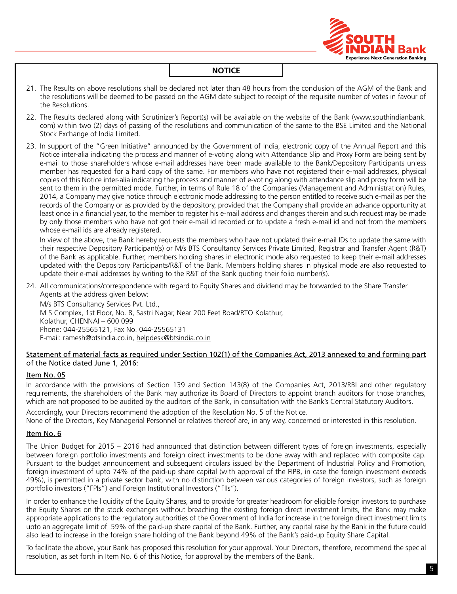

- 21. The Results on above resolutions shall be declared not later than 48 hours from the conclusion of the AGM of the Bank and the resolutions will be deemed to be passed on the AGM date subject to receipt of the requisite number of votes in favour of the Resolutions.
- 22. The Results declared along with Scrutinizer's Report(s) will be available on the website of the Bank (www.southindianbank. com) within two (2) days of passing of the resolutions and communication of the same to the BSE Limited and the National Stock Exchange of India Limited.
- 23. In support of the "Green Initiative" announced by the Government of India, electronic copy of the Annual Report and this Notice inter-alia indicating the process and manner of e-voting along with Attendance Slip and Proxy Form are being sent by e-mail to those shareholders whose e-mail addresses have been made available to the Bank/Depository Participants unless member has requested for a hard copy of the same. For members who have not registered their e-mail addresses, physical copies of this Notice inter-alia indicating the process and manner of e-voting along with attendance slip and proxy form will be sent to them in the permitted mode. Further, in terms of Rule 18 of the Companies (Management and Administration) Rules, 2014, a company may give notice through electronic mode addressing to the person entitled to receive such e-mail as per the records of the company or as provided by the depository, provided that the company shall provide an advance opportunity at least once in a financial year, to the member to register his e-mail address and changes therein and such request may be made by only those members who have not got their e-mail id recorded or to update a fresh e-mail id and not from the members whose e-mail ids are already registered.

In view of the above, the Bank hereby requests the members who have not updated their e-mail IDs to update the same with their respective Depository Participant(s) or M/s BTS Consultancy Services Private Limited, Registrar and Transfer Agent (R&T) of the Bank as applicable. Further, members holding shares in electronic mode also requested to keep their e-mail addresses updated with the Depository Participants/R&T of the Bank. Members holding shares in physical mode are also requested to update their e-mail addresses by writing to the R&T of the Bank quoting their folio number(s).

24. All communications/correspondence with regard to Equity Shares and dividend may be forwarded to the Share Transfer Agents at the address given below:

M/s BTS Consultancy Services Pvt. Ltd., M S Complex, 1st Floor, No. 8, Sastri Nagar, Near 200 Feet Road/RTO Kolathur, Kolathur, CHENNAI – 600 099 Phone: 044-25565121, Fax No. 044-25565131 E-mail: ramesh@btsindia.co.in, helpdesk@btsindia.co.in

#### Statement of material facts as required under Section 102(1) of the Companies Act, 2013 annexed to and forming part of the Notice dated June 1, 2016:

#### Item No. 05

In accordance with the provisions of Section 139 and Section 143(8) of the Companies Act, 2013/RBI and other regulatory requirements, the shareholders of the Bank may authorize its Board of Directors to appoint branch auditors for those branches, which are not proposed to be audited by the auditors of the Bank, in consultation with the Bank's Central Statutory Auditors.

Accordingly, your Directors recommend the adoption of the Resolution No. 5 of the Notice.

None of the Directors, Key Managerial Personnel or relatives thereof are, in any way, concerned or interested in this resolution.

#### Item No. 6

The Union Budget for 2015 – 2016 had announced that distinction between different types of foreign investments, especially between foreign portfolio investments and foreign direct investments to be done away with and replaced with composite cap. Pursuant to the budget announcement and subsequent circulars issued by the Department of Industrial Policy and Promotion, foreign investment of upto 74% of the paid-up share capital (with approval of the FIPB, in case the foreign investment exceeds 49%), is permitted in a private sector bank, with no distinction between various categories of foreign investors, such as foreign portfolio investors ("FPIs") and Foreign Institutional Investors ("FIIs").

In order to enhance the liquidity of the Equity Shares, and to provide for greater headroom for eligible foreign investors to purchase the Equity Shares on the stock exchanges without breaching the existing foreign direct investment limits, the Bank may make appropriate applications to the regulatory authorities of the Government of India for increase in the foreign direct investment limits upto an aggregate limit of 59% of the paid-up share capital of the Bank. Further, any capital raise by the Bank in the future could also lead to increase in the foreign share holding of the Bank beyond 49% of the Bank's paid-up Equity Share capital.

To facilitate the above, your Bank has proposed this resolution for your approval. Your Directors, therefore, recommend the special resolution, as set forth in Item No. 6 of this Notice, for approval by the members of the Bank.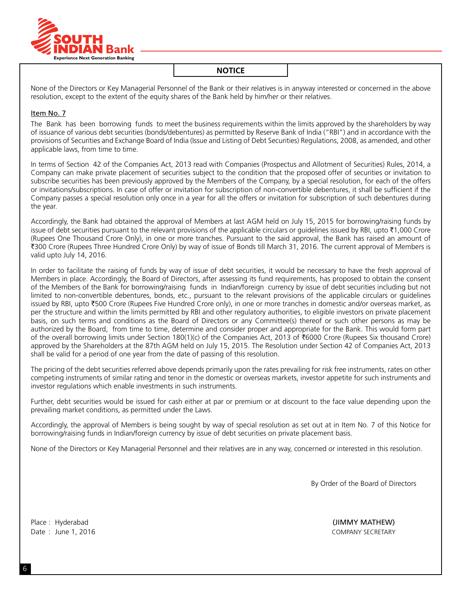

None of the Directors or Key Managerial Personnel of the Bank or their relatives is in anyway interested or concerned in the above resolution, except to the extent of the equity shares of the Bank held by him/her or their relatives.

#### Item No. 7

The Bank has been borrowing funds to meet the business requirements within the limits approved by the shareholders by way of issuance of various debt securities (bonds/debentures) as permitted by Reserve Bank of India ("RBI") and in accordance with the provisions of Securities and Exchange Board of India (Issue and Listing of Debt Securities) Regulations, 2008, as amended, and other applicable laws, from time to time.

In terms of Section 42 of the Companies Act, 2013 read with Companies (Prospectus and Allotment of Securities) Rules, 2014, a Company can make private placement of securities subject to the condition that the proposed offer of securities or invitation to subscribe securities has been previously approved by the Members of the Company, by a special resolution, for each of the offers or invitations/subscriptions. In case of offer or invitation for subscription of non-convertible debentures, it shall be sufficient if the Company passes a special resolution only once in a year for all the offers or invitation for subscription of such debentures during the year.

Accordingly, the Bank had obtained the approval of Members at last AGM held on July 15, 2015 for borrowing/raising funds by issue of debt securities pursuant to the relevant provisions of the applicable circulars or quidelines issued by RBI, upto  $\bar{\tau}$ 1,000 Crore (Rupees One Thousand Crore Only), in one or more tranches. Pursuant to the said approval, the Bank has raised an amount of `300 Crore (Rupees Three Hundred Crore Only) by way of issue of Bonds till March 31, 2016. The current approval of Members is valid upto July 14, 2016.

In order to facilitate the raising of funds by way of issue of debt securities, it would be necessary to have the fresh approval of Members in place. Accordingly, the Board of Directors, after assessing its fund requirements, has proposed to obtain the consent of the Members of the Bank for borrowing/raising funds in Indian/foreign currency by issue of debt securities including but not limited to non-convertible debentures, bonds, etc., pursuant to the relevant provisions of the applicable circulars or guidelines issued by RBI, upto ₹500 Crore (Rupees Five Hundred Crore only), in one or more tranches in domestic and/or overseas market, as per the structure and within the limits permitted by RBI and other regulatory authorities, to eligible investors on private placement basis, on such terms and conditions as the Board of Directors or any Committee(s) thereof or such other persons as may be authorized by the Board, from time to time, determine and consider proper and appropriate for the Bank. This would form part of the overall borrowing limits under Section 180(1)(c) of the Companies Act, 2013 of `6000 crore (Rupees six thousand crore) approved by the Shareholders at the 87th AGM held on July 15, 2015. The Resolution under Section 42 of Companies Act, 2013 shall be valid for a period of one year from the date of passing of this resolution.

The pricing of the debt securities referred above depends primarily upon the rates prevailing for risk free instruments, rates on other competing instruments of similar rating and tenor in the domestic or overseas markets, investor appetite for such instruments and investor regulations which enable investments in such instruments.

Further, debt securities would be issued for cash either at par or premium or at discount to the face value depending upon the prevailing market conditions, as permitted under the Laws.

Accordingly, the approval of Members is being sought by way of special resolution as set out at in Item No. 7 of this Notice for borrowing/raising funds in Indian/foreign currency by issue of debt securities on private placement basis.

None of the Directors or Key Managerial Personnel and their relatives are in any way, concerned or interested in this resolution.

By Order of the Board of Directors

Place : Hyderabad (JIMMY MATHEW) Date : June 1, 2016 **COMPANY SECRETARY**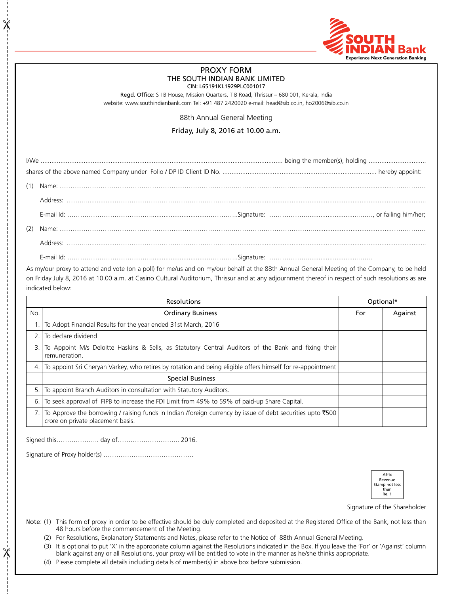

#### PROXY FORM THE SOUTH INDIAN BANK LIMITED CIN: L65191KL1929PLC001017

Regd. Office: S I B House, Mission Quarters, T B Road, Thrissur – 680 001, Kerala, India website: www.southindianbank.com Tel: +91 487 2420020 e-mail: head@sib.co.in, ho2006@sib.co.in

88th Annual General Meeting

Friday, July 8, 2016 at 10.00 a.m.

As my/our proxy to attend and vote (on a poll) for me/us and on my/our behalf at the 88th Annual General Meeting of the Company, to be held on Friday July 8, 2016 at 10.00 a.m. at Casino Cultural Auditorium, Thrissur and at any adjournment thereof in respect of such resolutions as are indicated below:

| <b>Resolutions</b> |                                                                                                                                                 |     | Optional* |  |
|--------------------|-------------------------------------------------------------------------------------------------------------------------------------------------|-----|-----------|--|
| No.                | <b>Ordinary Business</b>                                                                                                                        | For | Against   |  |
|                    | To Adopt Financial Results for the year ended 31st March, 2016                                                                                  |     |           |  |
| 2.                 | To declare dividend                                                                                                                             |     |           |  |
| 3.                 | To Appoint M/s Deloitte Haskins & Sells, as Statutory Central Auditors of the Bank and fixing their<br>remuneration.                            |     |           |  |
| 4.                 | To appoint Sri Cheryan Varkey, who retires by rotation and being eligible offers himself for re-appointment                                     |     |           |  |
|                    | <b>Special Business</b>                                                                                                                         |     |           |  |
| 5.                 | To appoint Branch Auditors in consultation with Statutory Auditors.                                                                             |     |           |  |
| 6.                 | To seek approval of FIPB to increase the FDI Limit from 49% to 59% of paid-up Share Capital.                                                    |     |           |  |
|                    | To Approve the borrowing / raising funds in Indian /foreign currency by issue of debt securities upto ₹500<br>crore on private placement basis. |     |           |  |

Signed this……………….. day of……………………….. 2016.

 $\frac{1}{2}$ 

 $\frac{1}{2}$ 

Signature of Proxy holder(s) ……………………………………



Signature of the Shareholder

- Note: (1) This form of proxy in order to be effective should be duly completed and deposited at the Registered Office of the Bank, not less than 48 hours before the commencement of the Meeting.
	- (2) For Resolutions, Explanatory Statements and Notes, please refer to the Notice of 88th Annual General Meeting.

(3) It is optional to put 'X' in the appropriate column against the Resolutions indicated in the Box. If you leave the 'For' or 'Against' column blank against any or all Resolutions, your proxy will be entitled to vote in the manner as he/she thinks appropriate.

(4) Please complete all details including details of member(s) in above box before submission.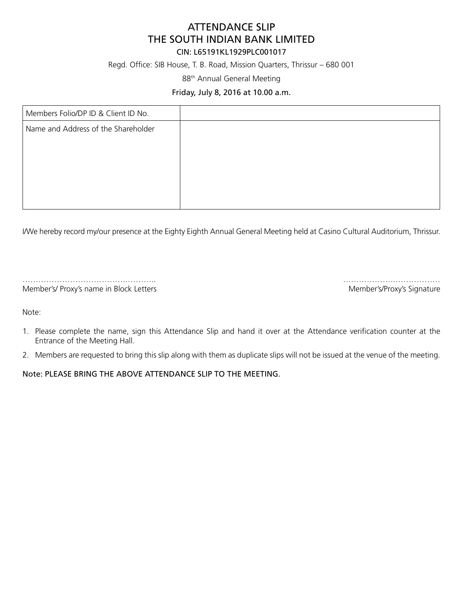# ATTENDANCE SLIP THE SOUTH INDIAN BANK LIMITED

# CIN: L65191KL1929PLC001017

Regd. Office: SIB House, T. B. Road, Mission Quarters, Thrissur – 680 001

88th Annual General Meeting

# Friday, July 8, 2016 at 10.00 a.m.

| Members Folio/DP ID & Client ID No. |  |
|-------------------------------------|--|
| Name and Address of the Shareholder |  |
|                                     |  |
|                                     |  |
|                                     |  |
|                                     |  |
|                                     |  |

I/We hereby record my/our presence at the Eighty Eighth Annual General Meeting held at Casino Cultural Auditorium, Thrissur.

………………………………….……….. ……………….……………… Member's/Proxy's name in Block Letters Member's/Proxy's Signature

Note:

- 1. Please complete the name, sign this Attendance Slip and hand it over at the Attendance verification counter at the Entrance of the Meeting Hall.
- 2. Members are requested to bring this slip along with them as duplicate slips will not be issued at the venue of the meeting.

Note: PLEASE BRING THE ABOVE ATTENDANCE SLIP TO THE MEETING.